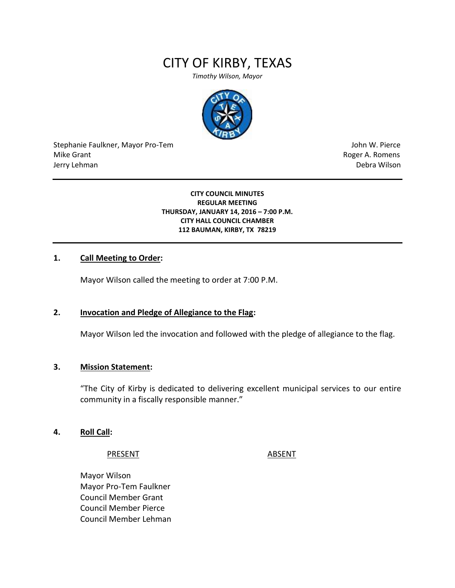# CITY OF KIRBY, TEXAS

*Timothy Wilson, Mayor*



Stephanie Faulkner, Mayor Pro-Tem John W. Pierce Mike Grant **Mike Grant** Roger A. Romens **Contract A. Romens Roger A. Romens** Jerry Lehman Debra Wilson

#### **CITY COUNCIL MINUTES REGULAR MEETING THURSDAY, JANUARY 14, 2016 – 7:00 P.M. CITY HALL COUNCIL CHAMBER 112 BAUMAN, KIRBY, TX 78219**

#### **1. Call Meeting to Order:**

Mayor Wilson called the meeting to order at 7:00 P.M.

#### **2. Invocation and Pledge of Allegiance to the Flag:**

Mayor Wilson led the invocation and followed with the pledge of allegiance to the flag.

#### **3. Mission Statement:**

"The City of Kirby is dedicated to delivering excellent municipal services to our entire community in a fiscally responsible manner."

#### **4. Roll Call:**

PRESENT ABSENT

Mayor Wilson Mayor Pro-Tem Faulkner Council Member Grant Council Member Pierce Council Member Lehman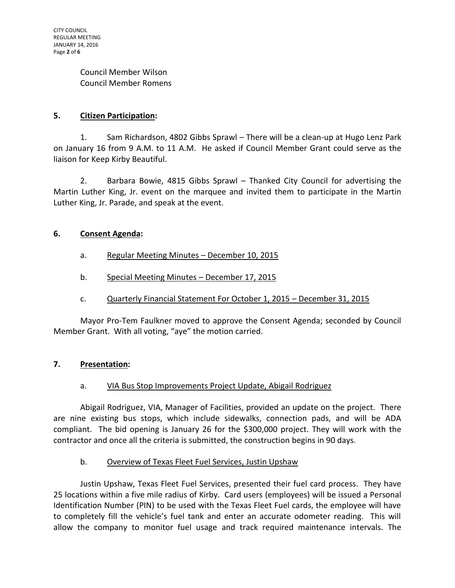Council Member Wilson Council Member Romens

# **5. Citizen Participation:**

1. Sam Richardson, 4802 Gibbs Sprawl – There will be a clean-up at Hugo Lenz Park on January 16 from 9 A.M. to 11 A.M. He asked if Council Member Grant could serve as the liaison for Keep Kirby Beautiful.

2. Barbara Bowie, 4815 Gibbs Sprawl – Thanked City Council for advertising the Martin Luther King, Jr. event on the marquee and invited them to participate in the Martin Luther King, Jr. Parade, and speak at the event.

# **6. Consent Agenda:**

- a. Regular Meeting Minutes December 10, 2015
- b. Special Meeting Minutes December 17, 2015
- c. Quarterly Financial Statement For October 1, 2015 December 31, 2015

Mayor Pro-Tem Faulkner moved to approve the Consent Agenda; seconded by Council Member Grant. With all voting, "aye" the motion carried.

# **7. Presentation:**

# a. VIA Bus Stop Improvements Project Update, Abigail Rodriguez

Abigail Rodriguez, VIA, Manager of Facilities, provided an update on the project. There are nine existing bus stops, which include sidewalks, connection pads, and will be ADA compliant. The bid opening is January 26 for the \$300,000 project. They will work with the contractor and once all the criteria is submitted, the construction begins in 90 days.

# b. Overview of Texas Fleet Fuel Services, Justin Upshaw

Justin Upshaw, Texas Fleet Fuel Services, presented their fuel card process. They have 25 locations within a five mile radius of Kirby. Card users (employees) will be issued a Personal Identification Number (PIN) to be used with the Texas Fleet Fuel cards, the employee will have to completely fill the vehicle's fuel tank and enter an accurate odometer reading. This will allow the company to monitor fuel usage and track required maintenance intervals. The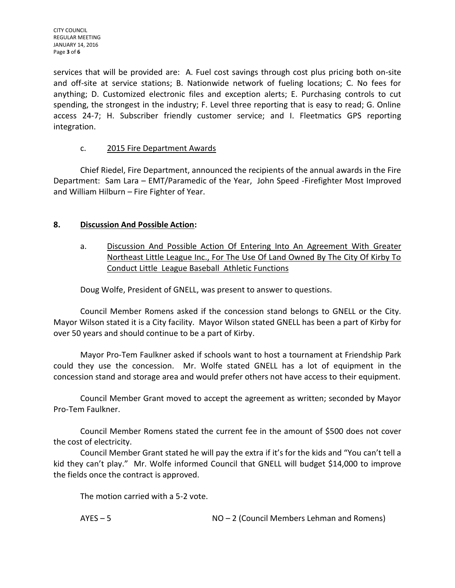CITY COUNCIL REGULAR MEETING JANUARY 14, 2016 Page **3** of **6**

services that will be provided are: A. Fuel cost savings through cost plus pricing both on-site and off-site at service stations; B. Nationwide network of fueling locations; C. No fees for anything; D. Customized electronic files and exception alerts; E. Purchasing controls to cut spending, the strongest in the industry; F. Level three reporting that is easy to read; G. Online access 24-7; H. Subscriber friendly customer service; and I. Fleetmatics GPS reporting integration.

# c. 2015 Fire Department Awards

Chief Riedel, Fire Department, announced the recipients of the annual awards in the Fire Department: Sam Lara – EMT/Paramedic of the Year, John Speed -Firefighter Most Improved and William Hilburn – Fire Fighter of Year.

# **8. Discussion And Possible Action:**

a. Discussion And Possible Action Of Entering Into An Agreement With Greater Northeast Little League Inc., For The Use Of Land Owned By The City Of Kirby To Conduct Little League Baseball Athletic Functions

Doug Wolfe, President of GNELL, was present to answer to questions.

Council Member Romens asked if the concession stand belongs to GNELL or the City. Mayor Wilson stated it is a City facility. Mayor Wilson stated GNELL has been a part of Kirby for over 50 years and should continue to be a part of Kirby.

Mayor Pro-Tem Faulkner asked if schools want to host a tournament at Friendship Park could they use the concession. Mr. Wolfe stated GNELL has a lot of equipment in the concession stand and storage area and would prefer others not have access to their equipment.

Council Member Grant moved to accept the agreement as written; seconded by Mayor Pro-Tem Faulkner.

Council Member Romens stated the current fee in the amount of \$500 does not cover the cost of electricity.

Council Member Grant stated he will pay the extra if it's for the kids and "You can't tell a kid they can't play." Mr. Wolfe informed Council that GNELL will budget \$14,000 to improve the fields once the contract is approved.

The motion carried with a 5-2 vote.

AYES – 5 NO – 2 (Council Members Lehman and Romens)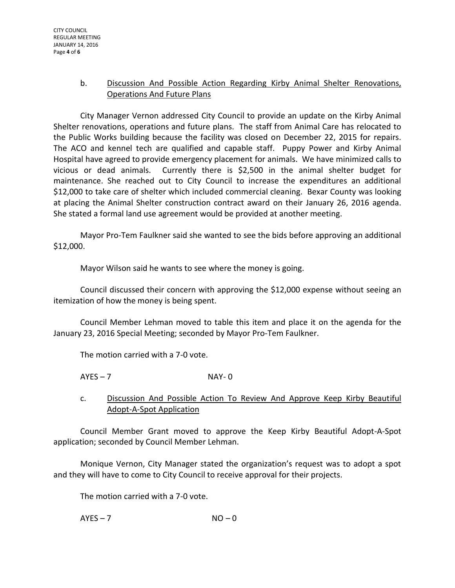# b. Discussion And Possible Action Regarding Kirby Animal Shelter Renovations, Operations And Future Plans

City Manager Vernon addressed City Council to provide an update on the Kirby Animal Shelter renovations, operations and future plans. The staff from Animal Care has relocated to the Public Works building because the facility was closed on December 22, 2015 for repairs. The ACO and kennel tech are qualified and capable staff. Puppy Power and Kirby Animal Hospital have agreed to provide emergency placement for animals. We have minimized calls to vicious or dead animals. Currently there is \$2,500 in the animal shelter budget for maintenance. She reached out to City Council to increase the expenditures an additional \$12,000 to take care of shelter which included commercial cleaning. Bexar County was looking at placing the Animal Shelter construction contract award on their January 26, 2016 agenda. She stated a formal land use agreement would be provided at another meeting.

Mayor Pro-Tem Faulkner said she wanted to see the bids before approving an additional \$12,000.

Mayor Wilson said he wants to see where the money is going.

Council discussed their concern with approving the \$12,000 expense without seeing an itemization of how the money is being spent.

Council Member Lehman moved to table this item and place it on the agenda for the January 23, 2016 Special Meeting; seconded by Mayor Pro-Tem Faulkner.

The motion carried with a 7-0 vote.

 $AYES - 7$  NAY- 0

c. Discussion And Possible Action To Review And Approve Keep Kirby Beautiful Adopt-A-Spot Application

Council Member Grant moved to approve the Keep Kirby Beautiful Adopt-A-Spot application; seconded by Council Member Lehman.

Monique Vernon, City Manager stated the organization's request was to adopt a spot and they will have to come to City Council to receive approval for their projects.

The motion carried with a 7-0 vote.

 $AYES - 7$   $NO - 0$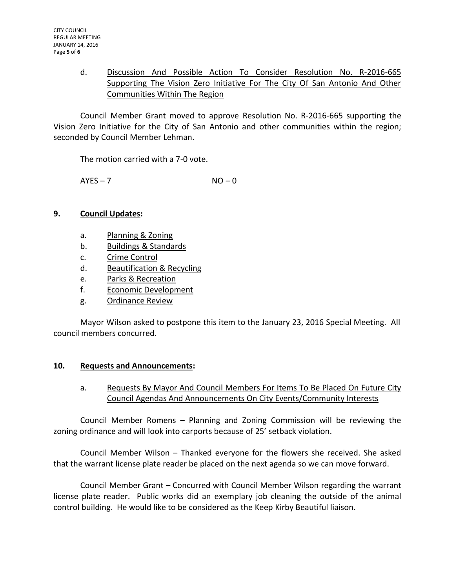# d. Discussion And Possible Action To Consider Resolution No. R-2016-665 Supporting The Vision Zero Initiative For The City Of San Antonio And Other Communities Within The Region

Council Member Grant moved to approve Resolution No. R-2016-665 supporting the Vision Zero Initiative for the City of San Antonio and other communities within the region; seconded by Council Member Lehman.

The motion carried with a 7-0 vote.

 $AYES - 7$   $NO - 0$ 

# **9. Council Updates:**

- a. Planning & Zoning
- b. Buildings & Standards
- c. Crime Control
- d. Beautification & Recycling
- e. Parks & Recreation
- f. Economic Development
- g. Ordinance Review

Mayor Wilson asked to postpone this item to the January 23, 2016 Special Meeting. All council members concurred.

# **10. Requests and Announcements:**

# a. Requests By Mayor And Council Members For Items To Be Placed On Future City Council Agendas And Announcements On City Events/Community Interests

Council Member Romens – Planning and Zoning Commission will be reviewing the zoning ordinance and will look into carports because of 25' setback violation.

Council Member Wilson – Thanked everyone for the flowers she received. She asked that the warrant license plate reader be placed on the next agenda so we can move forward.

Council Member Grant – Concurred with Council Member Wilson regarding the warrant license plate reader. Public works did an exemplary job cleaning the outside of the animal control building. He would like to be considered as the Keep Kirby Beautiful liaison.